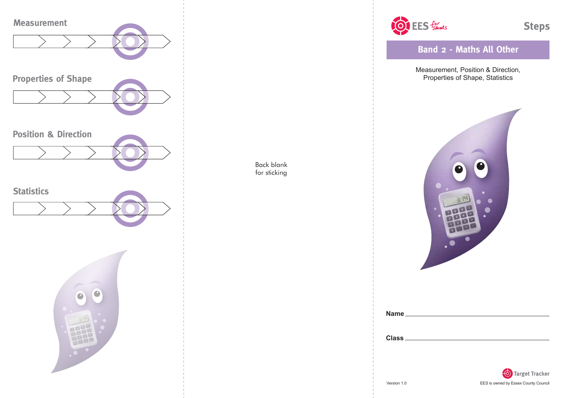

Back blank for sticking



**Band 2 - Maths All Other**

Measurement, Position & Direction, Properties of Shape, Statistics



| Name         |  |  |  |
|--------------|--|--|--|
|              |  |  |  |
| <b>Class</b> |  |  |  |
|              |  |  |  |